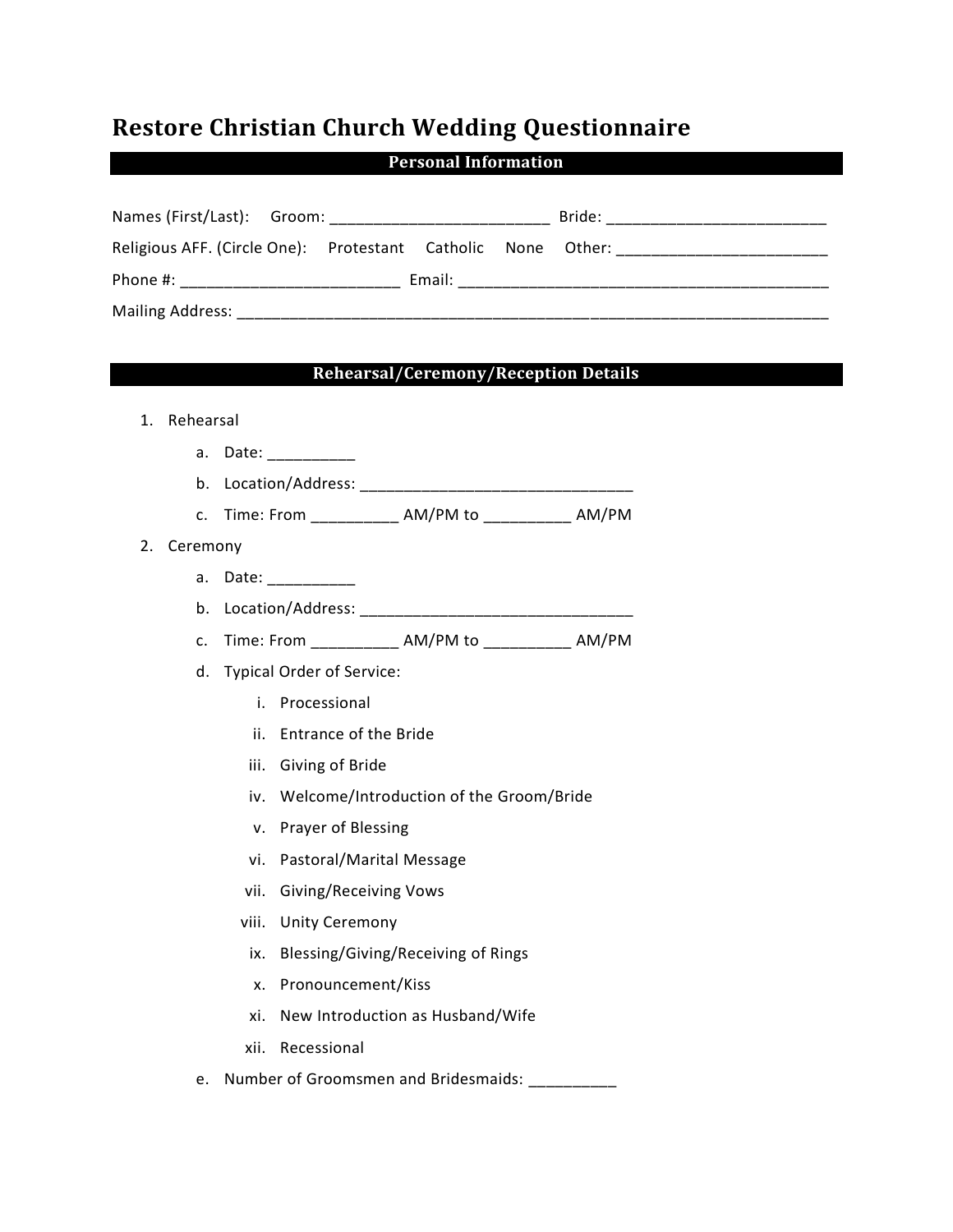## **Restore Christian Church Wedding Questionnaire**

**Personal Information**

| Names (First/Last): Groom:                                   |  |        | Bride: |  |
|--------------------------------------------------------------|--|--------|--------|--|
| Religious AFF. (Circle One): Protestant Catholic None Other: |  |        |        |  |
| Phone #:                                                     |  | Email: |        |  |
| <b>Mailing Address:</b>                                      |  |        |        |  |

## **Rehearsal/Ceremony/Reception Details**

| 1. | Rehearsal |                              |                       |                                                     |  |  |
|----|-----------|------------------------------|-----------------------|-----------------------------------------------------|--|--|
|    | a.        |                              | Date: __________      |                                                     |  |  |
|    |           |                              |                       |                                                     |  |  |
|    | c.        |                              |                       | Time: From ____________ AM/PM to ____________ AM/PM |  |  |
| 2. | Ceremony  |                              |                       |                                                     |  |  |
|    | a.        | Date: __________             |                       |                                                     |  |  |
|    | b.        |                              |                       |                                                     |  |  |
|    | c.        |                              |                       | Time: From ____________ AM/PM to ___________ AM/PM  |  |  |
|    |           | d. Typical Order of Service: |                       |                                                     |  |  |
|    |           | i.                           | Processional          |                                                     |  |  |
|    |           | ii.                          | Entrance of the Bride |                                                     |  |  |
|    |           |                              | iii. Giving of Bride  |                                                     |  |  |
|    |           |                              |                       | iv. Welcome/Introduction of the Groom/Bride         |  |  |
|    |           |                              | v. Prayer of Blessing |                                                     |  |  |
|    |           |                              |                       | vi. Pastoral/Marital Message                        |  |  |
|    |           | vii.                         |                       | <b>Giving/Receiving Vows</b>                        |  |  |
|    |           | viii.                        | <b>Unity Ceremony</b> |                                                     |  |  |
|    |           | ix.                          |                       | Blessing/Giving/Receiving of Rings                  |  |  |
|    |           |                              | x. Pronouncement/Kiss |                                                     |  |  |
|    |           | xi.                          |                       | New Introduction as Husband/Wife                    |  |  |
|    |           | xii.                         | Recessional           |                                                     |  |  |
|    | e.        |                              |                       | Number of Groomsmen and Bridesmaids:                |  |  |